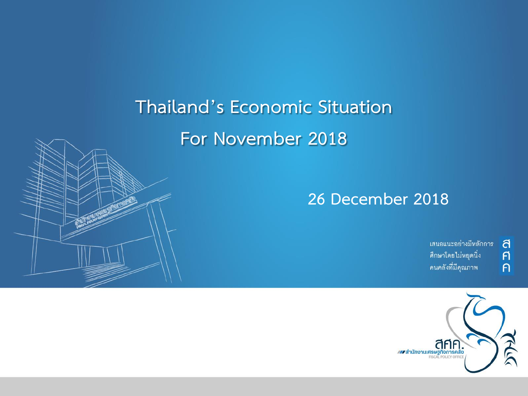# **Thailand's Economic Situation For November 2018**

### **26 December 2018**

เสนอแนะอย่างมีหลักการ ศึกษาโดยไม่หยุดนิ่ง คนคลังที่มีคุณภาพ

ิ<br>ศิ

 $\overline{P}$ 

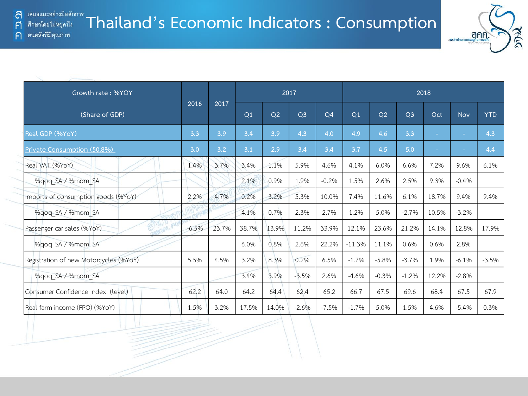F

 $\bigcap$ 



| Growth rate: %YOY                      |         |       |       |       | 2017           |                | 2018     |         |                |                          |         |            |  |
|----------------------------------------|---------|-------|-------|-------|----------------|----------------|----------|---------|----------------|--------------------------|---------|------------|--|
| (Share of GDP)                         | 2016    | 2017  | Q1    | Q2    | Q <sub>3</sub> | Q <sub>4</sub> | Q1       | Q2      | Q <sub>3</sub> | Oct                      | Nov     | <b>YTD</b> |  |
| Real GDP (%YoY)                        | 3.3     | 3.9   | 3.4   | 3.9   | 4.3            | 4.0            | 4.9      | 4.6     | 3.3            | ٠                        | $\sim$  | 4.3        |  |
| Private Consumption (50.8%)            | 3.0     | 3.2   | 3.1   | 2.9   | 3.4            | 3.4            | 3.7      | 4.5     | 5.0            | $\overline{\phantom{a}}$ | $\sim$  | 4.4        |  |
| Real VAT (%YoY)                        | 1.4%    | 3.7%  | 3.4%  | 1.1%  | 5.9%           | 4.6%           | 4.1%     | 6.0%    | 6.6%           | 7.2%                     | 9.6%    | 6.1%       |  |
| %gog SA / %mom SA                      |         |       | 2.1%  | 0.9%  | 1.9%           | $-0.2%$        | 1.5%     | 2.6%    | 2.5%           | 9.3%                     | $-0.4%$ |            |  |
| Imports of consumption goods (%YoY)    | 2.2%    | 4.7%  | 0.2%  | 3.2%  | 5.3%           | 10.0%          | 7.4%     | 11.6%   | 6.1%           | 18.7%                    | 9.4%    | 9.4%       |  |
| %gog SA / %mom SA                      |         |       | 4.1%  | 0.7%  | 2.3%           | 2.7%           | 1.2%     | 5.0%    | $-2.7%$        | 10.5%                    | $-3.2%$ |            |  |
| Passenger car sales (%YoY)<br>3/16     | $-6.5%$ | 23.7% | 38.7% | 13.9% | 11.2%          | 33.9%          | 12.1%    | 23.6%   | 21.2%          | 14.1%                    | 12.8%   | 17.9%      |  |
| %gog SA / %mom SA                      |         |       | 6.0%  | 0.8%  | 2.6%           | 22.2%          | $-11.3%$ | 11.1%   | 0.6%           | 0.6%                     | 2.8%    |            |  |
| Registration of new Motorcycles (%YoY) | 5.5%    | 4.5%  | 3.2%  | 8.3%  | 0.2%           | 6.5%           | $-1.7%$  | $-5.8%$ | $-3.7%$        | 1.9%                     | $-6.1%$ | $-3.5%$    |  |
| %qoq SA / %mom SA                      |         |       | 3.4%  | 3.9%  | $-3.5%$        | 2.6%           | $-4.6%$  | $-0.3%$ | $-1.2%$        | 12.2%                    | $-2.8%$ |            |  |
| Consumer Confidence Index (level)      | 62.2    | 64.0  | 64.2  | 64.4  | 62.4           | 65.2           | 66.7     | 67.5    | 69.6           | 68.4                     | 67.5    | 67.9       |  |
| Real farm income (FPO) (%YoY)          | 1.5%    | 3.2%  | 17.5% | 14.0% | $-2.6%$        | $-7.5%$        | $-1.7%$  | 5.0%    | 1.5%           | 4.6%                     | $-5.4%$ | 0.3%       |  |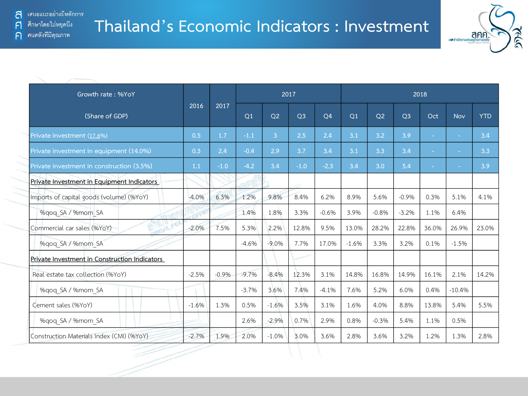

| Growth rate: %YoY                             |          |         |                |                |                | 2017      |                |                |                |        | 2018       |            |  |
|-----------------------------------------------|----------|---------|----------------|----------------|----------------|-----------|----------------|----------------|----------------|--------|------------|------------|--|
| (Share of GDP)                                | 2016     | 2017    | Q <sub>1</sub> | Q <sub>2</sub> | Q <sub>3</sub> | <b>O4</b> | O <sub>1</sub> | O <sub>2</sub> | O <sub>3</sub> | Oct    | <b>Nov</b> | <b>YTD</b> |  |
| Private investment (17.6%)                    | 0.5      | 1.7     | $-1.1$         | 3              | 2.5            | 2.4       | 3.1            | 3.2            | 3.9            | $\sim$ | $\sim$     | 3,4        |  |
| Private investment in equipment (14.0%)       | 0.3      | 2.4     | $-0.4$         | 2.9            | 3.7            | 3.4       | 3.1            | 3.3            | 3.4            |        |            | 3.3        |  |
| Private investment in construction (3.5%)     | 1.1      | $-1.0$  | $-4.2$         | 3.4            | $-1.0$         | $-2.3$    | 3.4            | 3.0            | 5.4            |        |            | 3.9        |  |
| Private Investment in Equipment Indicators    |          |         |                |                |                |           |                |                |                |        |            |            |  |
| Imports of capital goods (volume) (%YoY)      | $-4.0%$  | 6.3%    | 1.2%           | 9.8%           | 8.4%           | 6.2%      | 8.9%           | 5.6%           | $-0.9%$        | 0.3%   | 5.1%       | 4.1%       |  |
| %gog SA / %mom SA                             |          |         | 1.4%           | 1.8%           | 3.3%           | $-0.6%$   | 3.9%           | $-0.8%$        | $-3.2%$        | 1.1%   | 6.4%       |            |  |
| Commercial car sales (%YoY)                   | $-2.0\%$ | 7.5%    | 5.3%           | 2.2%           | 12.8%          | 9.5%      | 13.0%          | 28.2%          | 22.8%          | 36.0%  | 26.9%      | 23.0%      |  |
| %gog SA / %mom SA                             |          |         | $-4.6%$        | $-9.0%$        | 7.7%           | 17.0%     | $-1.6%$        | 3.3%           | 3.2%           | 0.1%   | $-1.5%$    |            |  |
| Private Investment in Construction Indicators |          |         |                |                |                |           |                |                |                |        |            |            |  |
| Real estate tax collection (%YoY)             | $-2.5%$  | $-0.9%$ | $-9.7%$        | $-8.4%$        | 12.3%          | 3.1%      | 14.8%          | 16.8%          | 14.9%          | 16.1%  | 2.1%       | 14.2%      |  |
| %gog SA / %mom SA                             |          |         | $-3.7%$        | 3.6%           | 7.4%           | $-4.1%$   | 7.6%           | 5.2%           | 6.0%           | 0.4%   | $-10.4%$   |            |  |
| Cement sales (%YoY)                           | $-1.6%$  | 1.3%    | 0.5%           | $-1.6%$        | 3.5%           | 3.1%      | 1.6%           | 4.0%           | 8.8%           | 13.8%  | 5.4%       | 5.5%       |  |
| %qoq SA / %mom SA                             |          |         | 2.6%           | $-2.9%$        | 0.7%           | 2.9%      | 0.8%           | $-0.3%$        | 5.4%           | 1.1%   | 0.5%       |            |  |
| Construction Materials Index (CMI) (%YoY)     | $-2.7%$  | 1.9%    | 2.0%           | $-1.0%$        | 3.0%           | 3.6%      | 2.8%           | 3.6%           | 3.2%           | 1.2%   | 1.3%       | 2.8%       |  |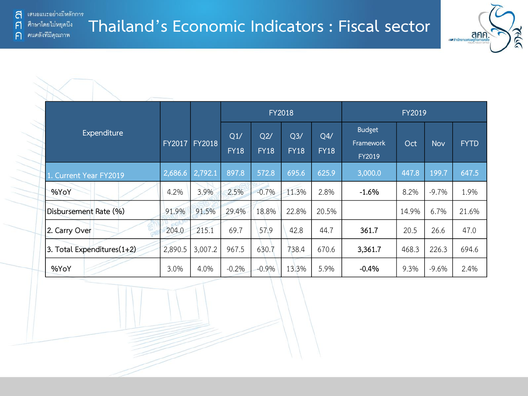้ เสนอแนะอย่างมีหลักการ a ศึกษาโดยไม่หยุดนี้ง

คนคลังที่มีคุณภาพ

F

 $\bigcap$ 

**Thailand's Economic Indicators : Fiscal sector**



|                               |         |               |                    |                    | <b>FY2018</b>                 |                    | FY2019                               |       |            |             |  |  |  |
|-------------------------------|---------|---------------|--------------------|--------------------|-------------------------------|--------------------|--------------------------------------|-------|------------|-------------|--|--|--|
| Expenditure                   | FY2017  | <b>FY2018</b> | Q1/<br><b>FY18</b> | Q2/<br><b>FY18</b> | Q <sub>3</sub><br><b>FY18</b> | Q4/<br><b>FY18</b> | <b>Budget</b><br>Framework<br>FY2019 | Oct   | <b>Nov</b> | <b>FYTD</b> |  |  |  |
| 1. Current Year FY2019        | 2,686.6 | 2,792.1       | 897.8              | 572.8              | 695.6                         | 625.9              | 3,000.0                              | 447.8 | 199.7      | 647.5       |  |  |  |
| %YoY                          | 4.2%    | 3.9%          | 2.5%               | $-0.7%$            | 11.3%                         | 2.8%               | $-1.6%$                              | 8.2%  | $-9.7%$    | 1.9%        |  |  |  |
| Disbursement Rate (%)         | 91.9%   | 91.5%         | 29.4%              | 18.8%              | 22.8%                         | 20.5%              |                                      | 14.9% | 6.7%       | 21.6%       |  |  |  |
| 2. Carry Over                 | 204.0   | 215.1         | 69.7               | 57.9               | 42.8                          | 44.7               | 361.7                                | 20.5  | 26.6       | 47.0        |  |  |  |
| 3. Total Expenditures $(1+2)$ | 2,890.5 | 3,007.2       | 967.5              | 630.7              | 738.4                         | 670.6              | 3,361.7                              | 468.3 | 226.3      | 694.6       |  |  |  |
| %YoY                          | 3.0%    | 4.0%          | $-0.2%$            | $-0.9%$            | 13.3%                         | 5.9%               | $-0.4%$                              | 9.3%  | $-9.6%$    | 2.4%        |  |  |  |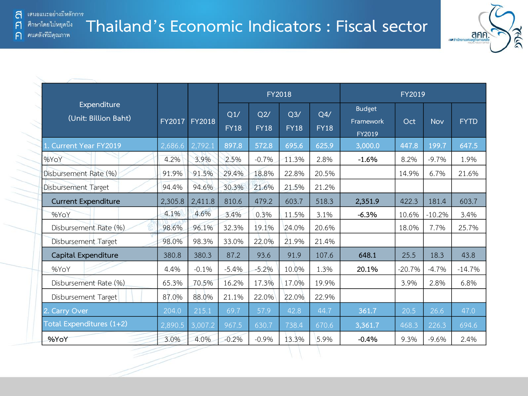

|                                     |               |               |                    |                    | FY2018             |                    |                                      | FY2019   |            |             |
|-------------------------------------|---------------|---------------|--------------------|--------------------|--------------------|--------------------|--------------------------------------|----------|------------|-------------|
| Expenditure<br>(Unit: Billion Baht) | <b>FY2017</b> | <b>FY2018</b> | Q1/<br><b>FY18</b> | Q2/<br><b>FY18</b> | Q3/<br><b>FY18</b> | Q4/<br><b>FY18</b> | <b>Budget</b><br>Framework<br>FY2019 | Oct      | <b>Nov</b> | <b>FYTD</b> |
| 1. Current Year FY2019              | 2,686.6       | 2,792.1       | 897.8              | 572.8              | 695.6              | 625.9              | 3,000.0                              | 447.8    | 199.7      | 647.5       |
| %YoY                                | 4.2%          | 3.9%          | 2.5%               | $-0.7%$            | 11.3%              | 2.8%               | $-1.6%$                              | 8.2%     | $-9.7%$    | 1.9%        |
| Disbursement Rate (%)               | 91.9%         | 91.5%         | 29.4%              | 18.8%              | 22.8%              | 20.5%              |                                      | 14.9%    | 6.7%       | 21.6%       |
| Disbursement Target                 | 94.4%         | 94.6%         | 30.3%              | 21.6%              | 21.5%              | 21.2%              |                                      |          |            |             |
| <b>Current Expenditure</b>          | 2,305.8       | 2,411.8       | 810.6              | 479.2              | 603.7              | 518.3              | 2,351.9                              | 422.3    | 181.4      | 603.7       |
| %YoY                                | 4.1%          | 4.6%          | 3.4%               | 0.3%               | 11.5%              | 3.1%               | $-6.3%$                              | 10.6%    | $-10.2%$   | 3.4%        |
| Disbursement Rate (%)               | 98.6%         | 96.1%         | 32.3%              | 19.1%              | 24.0%              | 20.6%              |                                      | 18.0%    | 7.7%       | 25.7%       |
| Disbursement Target                 | 98.0%         | 98.3%         | 33.0%              | 22.0%              | 21.9%              | 21.4%              |                                      |          |            |             |
| Capital Expenditure                 | 380.8         | 380.3         | 87.2               | 93.6               | 91.9               | 107.6              | 648.1                                | 25.5     | 18.3       | 43.8        |
| %YoY                                | 4.4%          | $-0.1%$       | $-5.4%$            | $-5.2%$            | 10.0%              | 1.3%               | 20.1%                                | $-20.7%$ | $-4.7%$    | $-14.7%$    |
| Disbursement Rate (%)               | 65.3%         | 70.5%         | 16.2%              | 17.3%              | 17.0%              | 19.9%              |                                      | 3.9%     | 2.8%       | 6.8%        |
| Disbursement Target                 | 87.0%         | 88.0%         | 21.1%              | 22.0%              | 22.0%              | 22.9%              |                                      |          |            |             |
| 2. Carry Over                       | 204.0         | 215.1         | 69.7               | 57.9               | 42.8               | 44.7               | 361.7                                | 20.5     | 26.6       | 47.0        |
| Total Expenditures (1+2)            | 2,890.5       | 3,007.2       | 967.5              | 630.7              | 738.4              | 670.6              | 3,361.7                              | 468.3    | 226.3      | 694.6       |
| %YoY                                | 3.0%          | 4.0%          | $-0.2%$            | $-0.9%$            | 13.3%              | 5.9%               | $-0.4%$                              | 9.3%     | $-9.6%$    | 2.4%        |

ศึกษาโดยไม่หยุดนึง F คนคลังที่มีคุณภาพ  $\bigcap$ 

 $\sum_{i=1}^{n}$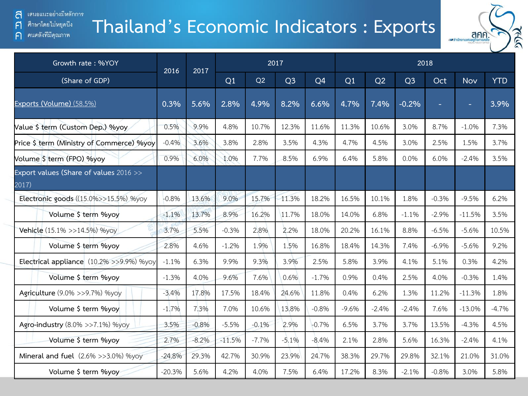### เสนอแนะอย่างมีหลักการ a

ศึกษาโดยไม่หยุดนี้ง  $\mathsf{F}$ 

คนคลังที่มีคุณภาพ  $\bigcap$ 

### **Thailand's Economic Indicators : Exports**



| Growth rate: %YOY                               | 2017<br>2016<br>2017 |         |          |         |                | 2018           |         |         |                |         |            |            |
|-------------------------------------------------|----------------------|---------|----------|---------|----------------|----------------|---------|---------|----------------|---------|------------|------------|
| (Share of GDP)                                  |                      |         | Q1       | Q2      | Q <sub>3</sub> | Q <sub>4</sub> | Q1      | Q2      | Q <sub>3</sub> | Oct     | <b>Nov</b> | <b>YTD</b> |
| Exports (Volume) (58.5%)                        | 0.3%                 | 5.6%    | 2.8%     | 4.9%    | 8.2%           | 6.6%           | 4.7%    | 7.4%    | $-0.2%$        | ÷.      | н          | 3.9%       |
| Value \$ term (Custom Dep.) %yoy                | 0.5%                 | 9.9%    | 4.8%     | 10.7%   | 12.3%          | 11.6%          | 11.3%   | 10.6%   | 3.0%           | 8.7%    | $-1.0%$    | 7.3%       |
| Price \$ term (Ministry of Commerce) %yoy       | $-0.4%$              | 3.6%    | 3.8%     | 2.8%    | 3.5%           | 4.3%           | 4.7%    | 4.5%    | 3.0%           | 2.5%    | 1.5%       | 3.7%       |
| Volume \$ term (FPO) %yoy                       | 0.9%                 | 6.0%    | 1.0%     | 7.7%    | 8.5%           | 6.9%           | 6.4%    | 5.8%    | 0.0%           | 6.0%    | $-2.4%$    | 3.5%       |
| Export values (Share of values 2016 >><br>2017) |                      |         |          |         |                |                |         |         |                |         |            |            |
| Electronic goods ((15.0%>>15.5%) %yoy           | $-0.8%$              | 13.6%   | 9.0%     | 15.7%   | 11.3%          | 18.2%          | 16.5%   | 10.1%   | 1.8%           | $-0.3%$ | $-9.5%$    | 6.2%       |
| Volume \$ term %yoy                             | $-1.1%$              | 13.7%   | 8.9%     | 16.2%   | 11.7%          | 18.0%          | 14.0%   | 6.8%    | $-1.1%$        | $-2.9%$ | $-11.5%$   | 3.5%       |
| Vehicle (15.1% >>14.5%) %yoy                    | 3.7%                 | 5.5%    | $-0.3%$  | 2.8%    | 2.2%           | 18.0%          | 20.2%   | 16.1%   | 8.8%           | $-6.5%$ | $-5.6%$    | 10.5%      |
| Volume \$ term %yoy                             | 2.8%                 | 4.6%    | $-1.2%$  | 1.9%    | 1.5%           | 16.8%          | 18.4%   | 14.3%   | 7.4%           | $-6.9%$ | $-5.6%$    | 9.2%       |
| Electrical appliance (10.2% >>9.9%) %yoy        | $-1.1%$              | 6.3%    | 9.9%     | 9.3%    | 3.9%           | 2.5%           | 5.8%    | 3.9%    | 4.1%           | 5.1%    | 0.3%       | 4.2%       |
| Volume \$ term %yoy                             | $-1.3%$              | 4.0%    | 9.6%     | 7.6%    | 0.6%           | $-1.7%$        | 0.9%    | 0.4%    | 2.5%           | 4.0%    | $-0.3%$    | 1.4%       |
| Agriculture (9.0% >>9.7%) %yoy                  | $-3.4%$              | 17.8%   | 17.5%    | 18.4%   | 24.6%          | 11.8%          | 0.4%    | 6.2%    | 1.3%           | 11.2%   | $-11.3%$   | 1.8%       |
| Volume \$ term %yoy                             | $-1.7%$              | 7.3%    | 7.0%     | 10.6%   | 13.8%          | $-0.8%$        | $-9.6%$ | $-2.4%$ | $-2.4%$        | 7.6%    | $-13.0%$   | $-4.7%$    |
| Agro-industry (8.0% >>7.1%) %yoy                | 3.5%                 | $-0.8%$ | $-5.5%$  | $-0.1%$ | 2.9%           | $-0.7%$        | 6.5%    | 3.7%    | 3.7%           | 13.5%   | $-4.3%$    | 4.5%       |
| Volume \$ term %yoy                             | 2.7%                 | $-8.2%$ | $-11.5%$ | $-7.7%$ | $-5.1%$        | $-8.4%$        | 2.1%    | 2.8%    | 5.6%           | 16.3%   | $-2.4%$    | 4.1%       |
| Mineral and fuel (2.6% >>3.0%) %yoy             | $-24.8%$             | 29.3%   | 42.7%    | 30.9%   | 23.9%          | 24.7%          | 38.3%   | 29.7%   | 29.8%          | 32.1%   | 21.0%      | 31.0%      |
| Volume \$ term %yoy                             | $-20.3%$             | 5.6%    | 4.2%     | 4.0%    | 7.5%           | 6.4%           | 17.2%   | 8.3%    | $-2.1%$        | $-0.8%$ | 3.0%       | 5.8%       |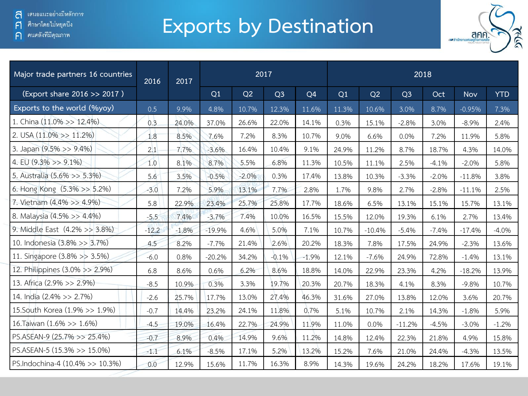ิคนคลังที่มีคุณภาพ  $\bigcap$ 

# **Exports by Destination**



| Major trade partners 16 countries | 2016    | 2017    |          |         | 2017           |                | 2018  |          |                |         |          |            |  |  |  |
|-----------------------------------|---------|---------|----------|---------|----------------|----------------|-------|----------|----------------|---------|----------|------------|--|--|--|
| (Export share 2016 >> 2017)       |         |         | Q1       | Q2      | Q <sub>3</sub> | Q <sub>4</sub> | Q1    | Q2       | Q <sub>3</sub> | Oct     | Nov      | <b>YTD</b> |  |  |  |
| Exports to the world (%yoy)       | 0.5     | 9.9%    | 4.8%     | 10.7%   | 12.3%          | 11.6%          | 11.3% | 10.6%    | 3.0%           | 8.7%    | $-0.95%$ | 7.3%       |  |  |  |
| 1. China $(11.0\% >> 12.4\%)$     | 0.3     | 24.0%   | 37.0%    | 26.6%   | 22.0%          | 14.1%          | 0.3%  | 15.1%    | $-2.8%$        | 3.0%    | $-8.9%$  | 2.4%       |  |  |  |
| 2. USA $(11.0\% > 11.2\%)$        | 1.8     | 8.5%    | 7.6%     | 7.2%    | 8.3%           | 10.7%          | 9.0%  | 6.6%     | 0.0%           | 7.2%    | 11.9%    | 5.8%       |  |  |  |
| 3. Japan (9.5% >> 9.4%)           | 2.1     | 7.7%    | $-3.6%$  | 16.4%   | 10.4%          | 9.1%           | 24.9% | 11.2%    | 8.7%           | 18.7%   | 4.3%     | 14.0%      |  |  |  |
| 4. EU $(9.3\% >> 9.1\%)$          | 1.0     | 8.1%    | 8.7%     | 5.5%    | 6.8%           | 11.3%          | 10.5% | 11.1%    | 2.5%           | $-4.1%$ | $-2.0%$  | 5.8%       |  |  |  |
| 5. Australia (5.6% >> 5.3%)       | 5.6     | 3.5%    | $-0.5%$  | $-2.0%$ | 0.3%           | 17.4%          | 13.8% | 10.3%    | $-3.3%$        | $-2.0%$ | $-11.8%$ | 3.8%       |  |  |  |
| 6. Hong Kong (5.3% >> 5.2%)       | $-3.0$  | 7.2%    | 5.9%     | 13.1%   | 7.7%           | 2.8%           | 1.7%  | 9.8%     | 2.7%           | $-2.8%$ | $-11.1%$ | 2.5%       |  |  |  |
| 7. Vietnam (4.4% >> 4.9%)         | 5.8     | 22.9%   | 23.4%    | 25.7%   | 25.8%          | 17.7%          | 18.6% | 6.5%     | 13.1%          | 15.1%   | 15.7%    | 13.1%      |  |  |  |
| 8. Malaysia (4.5% >> 4.4%)        | $-5.5$  | 7.4%    | $-3.7%$  | 7.4%    | 10.0%          | 16.5%          | 15.5% | 12.0%    | 19.3%          | 6.1%    | 2.7%     | 13.4%      |  |  |  |
| 9. Middle East (4.2% >> 3.8%)     | $-12.2$ | $-1.8%$ | $-19.9%$ | 4.6%    | 5.0%           | 7.1%           | 10.7% | $-10.4%$ | $-5.4%$        | $-7.4%$ | $-17.4%$ | $-4.0\%$   |  |  |  |
| 10. Indonesia (3.8% >> 3.7%)      | 4.5     | 8.2%    | $-7.7%$  | 21.4%   | 2.6%           | 20.2%          | 18.3% | 7.8%     | 17.5%          | 24.9%   | $-2.3%$  | 13.6%      |  |  |  |
| 11. Singapore (3.8% >> 3.5%)      | $-6.0$  | 0.8%    | $-20.2%$ | 34.2%   | $-0.1%$        | $-1.9%$        | 12.1% | $-7.6%$  | 24.9%          | 72.8%   | $-1.4%$  | 13.1%      |  |  |  |
| 12. Philippines (3.0% >> 2.9%)    | 6.8     | 8.6%    | 0.6%     | 6.2%    | 8.6%           | 18.8%          | 14.0% | 22.9%    | 23.3%          | 4.2%    | $-18.2%$ | 13.9%      |  |  |  |
| 13. Africa (2.9% >> 2.9%)         | $-8.5$  | 10.9%   | 0.3%     | 3.3%    | 19.7%          | 20.3%          | 20.7% | 18.3%    | 4.1%           | 8.3%    | $-9.8%$  | 10.7%      |  |  |  |
| 14. India (2.4% >> 2.7%)          | $-2.6$  | 25.7%   | 17.7%    | 13.0%   | 27.4%          | 46.3%          | 31.6% | 27.0%    | 13.8%          | 12.0%   | 3.6%     | 20.7%      |  |  |  |
| 15. South Korea (1.9% >> 1.9%)    | $-0.7$  | 14.4%   | 23.2%    | 24.1%   | 11.8%          | 0.7%           | 5.1%  | 10.7%    | 2.1%           | 14.3%   | $-1.8%$  | 5.9%       |  |  |  |
| 16. Taiwan (1.6% >> 1.6%)         | $-4.5$  | 19.0%   | 16.4%    | 22.7%   | 24.9%          | 11.9%          | 11.0% | 0.0%     | $-11.2%$       | $-4.5%$ | $-3.0%$  | $-1.2%$    |  |  |  |
| PS.ASEAN-9 (25.7% >> 25.4%)       | $-0.7$  | 8.9%    | 0.4%     | 14.9%   | 9.6%           | 11.2%          | 14.8% | 12.4%    | 22.3%          | 21.8%   | 4.9%     | 15.8%      |  |  |  |
| PS.ASEAN-5 (15.3% >> 15.0%)       | $-1.1$  | 6.1%    | $-8.5%$  | 17.1%   | 5.2%           | 13.2%          | 15.2% | 7.6%     | 21.0%          | 24.4%   | $-4.3%$  | 13.5%      |  |  |  |
| PS.Indochina-4 (10.4% >> 10.3%)   | 0.0     | 12.9%   | 15.6%    | 11.7%   | 16.3%          | 8.9%           | 14.3% | 19.6%    | 24.2%          | 18.2%   | 17.6%    | 19.1%      |  |  |  |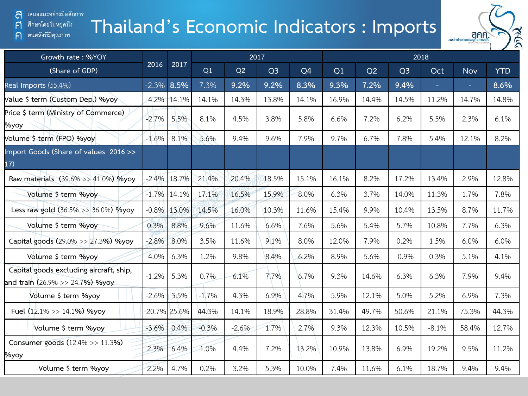### เสนอแนะอย่างมีหลักการ a

### ศึกษาโดยไม่หยุดนี้ง  $\mathsf{F}$

คนคลังที่มีคุณภาพ  $\bigcap$ 

### **Thailand's Economic Indicators : Imports**



| Growth rate: %YOY                                                          |          |                 |         |         | 2017           |       | 2018  |       |                |            |            |            |  |  |  |
|----------------------------------------------------------------------------|----------|-----------------|---------|---------|----------------|-------|-------|-------|----------------|------------|------------|------------|--|--|--|
| (Share of GDP)                                                             | 2016     | 2017            | Q1      | Q2      | Q <sub>3</sub> | Q4    | Q1    | Q2    | Q <sub>3</sub> | <b>Oct</b> | <b>Nov</b> | <b>YTD</b> |  |  |  |
| Real Imports (55.4%)                                                       | $-2.3%$  | 8.5%            | 7.3%    | 9.2%    | 9.2%           | 8.3%  | 9.3%  | 7.2%  | 9.4%           | н          | $\equiv$   | 8.6%       |  |  |  |
| Value \$ term (Custom Dep.) %yoy                                           |          | $-4.2\%$ 14.1%  | 14.1%   | 14.3%   | 13.8%          | 14.1% | 16.9% | 14.4% | 14.5%          | 11.2%      | 14.7%      | 14.8%      |  |  |  |
| Price \$ term (Ministry of Commerce)<br>Myoy                               | $-2.7%$  | 5.5%            | 8.1%    | 4.5%    | 3.8%           | 5.8%  | 6.6%  | 7.2%  | 6.2%           | 5.5%       | 2.3%       | 6.1%       |  |  |  |
| Volume \$ term (FPO) %yoy                                                  | $-1.6%$  | 8.1%            | 5.6%    | 9.4%    | 9.6%           | 7.9%  | 9.7%  | 6.7%  | 7.8%           | 5.4%       | 12.1%      | 8.2%       |  |  |  |
| Import Goods (Share of values 2016>><br>17)                                |          |                 |         |         |                |       |       |       |                |            |            |            |  |  |  |
| Raw materials (39.6% >> 41.0%) %yoy                                        | $-2.4\%$ | 18.7%           | 21.4%   | 20.4%   | 18.5%          | 15.1% | 16.1% | 8.2%  | 17.2%          | 13.4%      | 2.9%       | 12.8%      |  |  |  |
| Volume \$ term %yoy                                                        | $-1.7%$  | 14.1%           | 17.1%   | 16.5%   | 15.9%          | 8.0%  | 6.3%  | 3.7%  | 14.0%          | 11.3%      | 1.7%       | 7.8%       |  |  |  |
| Less raw gold (36.5% >> 36.0%) %yoy                                        | $-0.8%$  | 13.0%           | 14.5%   | 16.0%   | 10.3%          | 11.6% | 15.4% | 9.9%  | 10.4%          | 13.5%      | 8.7%       | 11.7%      |  |  |  |
| Volume \$ term %yoy                                                        | 0.3%     | 8.8%            | 9.6%    | 11.6%   | 6.6%           | 7.6%  | 5.6%  | 5.4%  | 5.7%           | 10.8%      | 7.7%       | 6.3%       |  |  |  |
| Capital goods (29.0% >> 27.3%) %yoy                                        | $-2.8\%$ | 8.0%            | 3.5%    | 11.6%   | 9.1%           | 8.0%  | 12.0% | 7.9%  | 0.2%           | 1.5%       | 6.0%       | 6.0%       |  |  |  |
| Volume \$ term %yoy                                                        | $-4.0\%$ | 6.3%            | 1.2%    | 9.8%    | 8.4%           | 6.2%  | 8.9%  | 5.6%  | $-0.9%$        | 0.3%       | 5.1%       | 4.1%       |  |  |  |
| Capital goods excluding aircraft, ship,<br>and train (26.9% >> 24.7%) %yoy | $-1.2%$  | 5.3%            | 0.7%    | 6.1%    | 7.7%           | 6.7%  | 9.3%  | 14.6% | 6.3%           | 6.3%       | 7.9%       | 9.4%       |  |  |  |
| Volume \$ term %yoy                                                        | $-2.6\%$ | 3.5%            | $-1.7%$ | 4.3%    | 6.9%           | 4.7%  | 5.9%  | 12.1% | 5.0%           | 5.2%       | 6.9%       | 7.3%       |  |  |  |
| Fuel (12.1% >> 14.1%) %yoy                                                 |          | $-20.7\%$ 25.6% | 44.3%   | 14.1%   | 18.9%          | 28.8% | 31.4% | 49.7% | 50.6%          | 21.1%      | 75.3%      | 44.3%      |  |  |  |
| Volume \$ term %yoy                                                        | $-3.6\%$ | 0.4%            | $-0.3%$ | $-2.6%$ | 1.7%           | 2.7%  | 9.3%  | 12.3% | 10.5%          | $-8.1%$    | 58.4%      | 12.7%      |  |  |  |
| Consumer goods (12.4% >> 11.3%)<br>%yoy                                    | 2.3%     | 6.4%            | 1.0%    | 4.4%    | 7.2%           | 13.2% | 10.9% | 13.8% | 6.9%           | 19.2%      | 9.5%       | 11.2%      |  |  |  |
| Volume \$ term %yoy                                                        | 2.2%     | 4.7%            | 0.2%    | 3.2%    | 5.3%           | 10.0% | 7.4%  | 11.6% | 6.1%           | 18.7%      | 9.4%       | 9.4%       |  |  |  |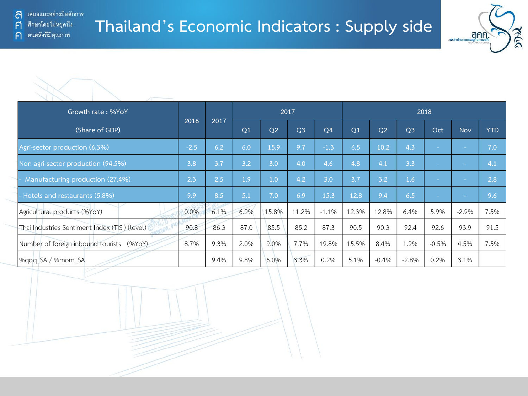



| Growth rate: %YoY                              |        |      |      |                | 2017           |                | 2018  |                |                |         |         |            |  |
|------------------------------------------------|--------|------|------|----------------|----------------|----------------|-------|----------------|----------------|---------|---------|------------|--|
| (Share of GDP)                                 | 2016   | 2017 | Q1   | Q <sub>2</sub> | Q <sub>3</sub> | Q <sub>4</sub> | Q1    | O <sub>2</sub> | Q <sub>3</sub> | Oct     | Nov     | <b>YTD</b> |  |
| Agri-sector production (6.3%)                  | $-2.5$ | 6.2  | 6.0  | 15.9           | 9.7            | $-1.3$         | 6.5   | 10.2           | 4.3            | $\sim$  | $\sim$  | 7.0        |  |
| Non-agri-sector production (94.5%)             | 3.8    | 3.7  | 3.2  | 3.0            | 4.0            | 4.6            | 4.8   | 4.1            | 3.3            | $\sim$  | $\sim$  | 4.1        |  |
| - Manufacturing production (27.4%)             | 2.3    | 2.5  | 1.9  | 1.0            | 4.2            | 3.0            | 3.7   | 3.2            | 1.6            |         | $\sim$  | 2.8        |  |
| - Hotels and restaurants (5.8%)                | 9.9    | 8.5  | 5.1  | 7.0            | 6.9            | 15.3           | 12.8  | 9.4            | 6.5            | ٠       | $\sim$  | 9.6        |  |
| Agricultural products (%YoY)                   | 0.0%   | 6.1% | 6.9% | 15.8%          | 11.2%          | $-1.1%$        | 12.3% | 12.8%          | 6.4%           | 5.9%    | $-2.9%$ | 7.5%       |  |
| Thai Industries Sentiment Index (TISI) (level) | 90.8   | 86.3 | 87.0 | 85.5           | 85.2           | 87.3           | 90.5  | 90.3           | 92.4           | 92.6    | 93.9    | 91.5       |  |
| Number of foreign inbound tourists<br>(%YoY)   | 8.7%   | 9.3% | 2.0% | 9.0%           | 7.7%           | 19.8%          | 15.5% | 8.4%           | 1.9%           | $-0.5%$ | 4.5%    | 7.5%       |  |
| %gog SA / %mom SA                              |        | 9.4% | 9.8% | 6.0%           | 3.3%           | 0.2%           | 5.1%  | $-0.4%$        | $-2.8%$        | 0.2%    | 3.1%    |            |  |